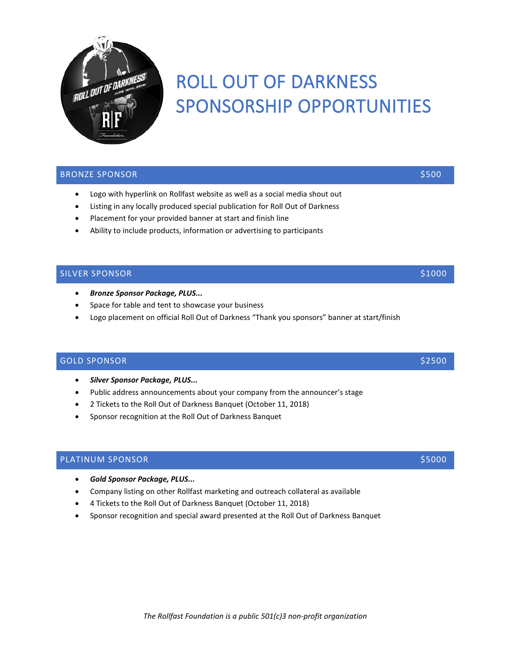

# ROLL OUT OF DARKNESS SPONSORSHIP OPPORTUNITIES

## BRONZE SPONSOR \$500

- Logo with hyperlink on Rollfast website as well as a social media shout out
- Listing in any locally produced special publication for Roll Out of Darkness
- Placement for your provided banner at start and finish line
- Ability to include products, information or advertising to participants

## SILVER SPONSOR \$1000

- *Bronze Sponsor Package, PLUS...*
- Space for table and tent to showcase your business
- Logo placement on official Roll Out of Darkness "Thank you sponsors" banner at start/finish

## GOLD SPONSOR **\$2500** \$2500 \$2500 \$2500 \$2500 \$2500 \$2500 \$2500 \$2500 \$2500 \$2500 \$2500 \$2500 \$2500 \$2500 \$2500 \$2500 \$2500 \$2500 \$2500 \$2500 \$2500 \$2500 \$2500 \$2500 \$2500 \$2500 \$2500 \$2500 \$2500 \$2500 \$2500 \$2500 \$2500 \$25

- *Silver Sponsor Package, PLUS...*
- Public address announcements about your company from the announcer's stage
- 2 Tickets to the Roll Out of Darkness Banquet (October 11, 2018)
- Sponsor recognition at the Roll Out of Darkness Banquet

## PLATINUM SPONSOR **\$5000** \$5000 \$5000 \$5000 \$5000 \$5000 \$5000 \$5000 \$5000 \$5000 \$5000 \$5000 \$5000 \$5000 \$5000 \$5000 \$5000 \$5000 \$5000 \$5000 \$5000 \$5000 \$5000 \$5000 \$5000 \$5000 \$5000 \$5000 \$5000 \$5000 \$5000 \$5000 \$5000 \$5000

- *Gold Sponsor Package, PLUS...*
- Company listing on other Rollfast marketing and outreach collateral as available
- 4 Tickets to the Roll Out of Darkness Banquet (October 11, 2018)
- Sponsor recognition and special award presented at the Roll Out of Darkness Banquet